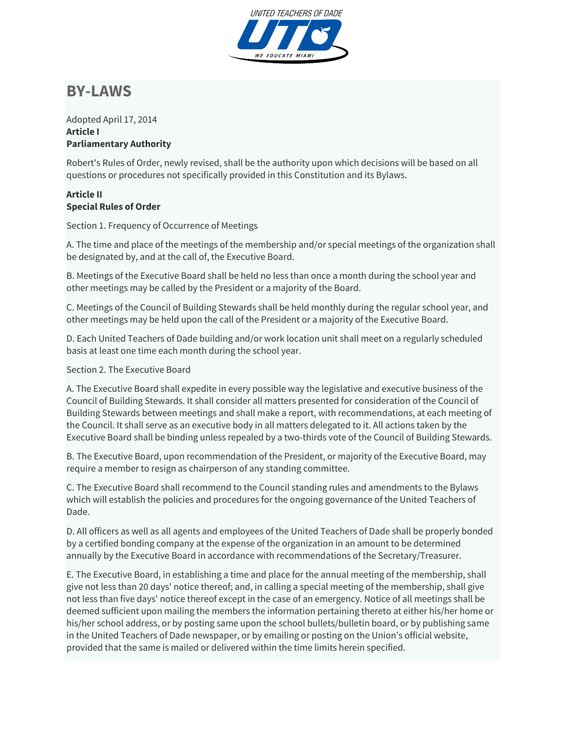

# **BY-LAWS**

#### Adopted April 17, 2014 **Article I Parliamentary Authority**

Robert's Rules of Order, newly revised, shall be the authority upon which decisions will be based on all questions or procedures not specifically provided in this Constitution and its Bylaws.

## **Article II Special Rules of Order**

Section 1. Frequency of Occurrence of Meetings

A. The time and place of the meetings of the membership and/or special meetings of the organization shall be designated by, and at the call of, the Executive Board.

B. Meetings of the Executive Board shall be held no less than once a month during the school year and other meetings may be called by the President or a majority of the Board.

C. Meetings of the Council of Building Stewards shall be held monthly during the regular school year, and other meetings may be held upon the call of the President or a majority of the Executive Board.

D. Each United Teachers of Dade building and/or work location unit shall meet on a regularly scheduled basis at least one time each month during the school year.

## Section 2. The Executive Board

A. The Executive Board shall expedite in every possible way the legislative and executive business of the Council of Building Stewards. It shall consider all matters presented for consideration of the Council of Building Stewards between meetings and shall make a report, with recommendations, at each meeting of the Council. It shall serve as an executive body in all matters delegated to it. All actions taken by the Executive Board shall be binding unless repealed by a two-thirds vote of the Council of Building Stewards.

B. The Executive Board, upon recommendation of the President, or majority of the Executive Board, may require a member to resign as chairperson of any standing committee.

C. The Executive Board shall recommend to the Council standing rules and amendments to the Bylaws which will establish the policies and procedures for the ongoing governance of the United Teachers of Dade.

D. All officers as well as all agents and employees of the United Teachers of Dade shall be properly bonded by a certified bonding company at the expense of the organization in an amount to be determined annually by the Executive Board in accordance with recommendations of the Secretary/Treasurer.

E. The Executive Board, in establishing a time and place for the annual meeting of the membership, shall give not less than 20 days' notice thereof; and, in calling a special meeting of the membership, shall give not less than five days' notice thereof except in the case of an emergency. Notice of all meetings shall be deemed sufficient upon mailing the members the information pertaining thereto at either his/her home or his/her school address, or by posting same upon the school bullets/bulletin board, or by publishing same in the United Teachers of Dade newspaper, or by emailing or posting on the Union's official website, provided that the same is mailed or delivered within the time limits herein specified.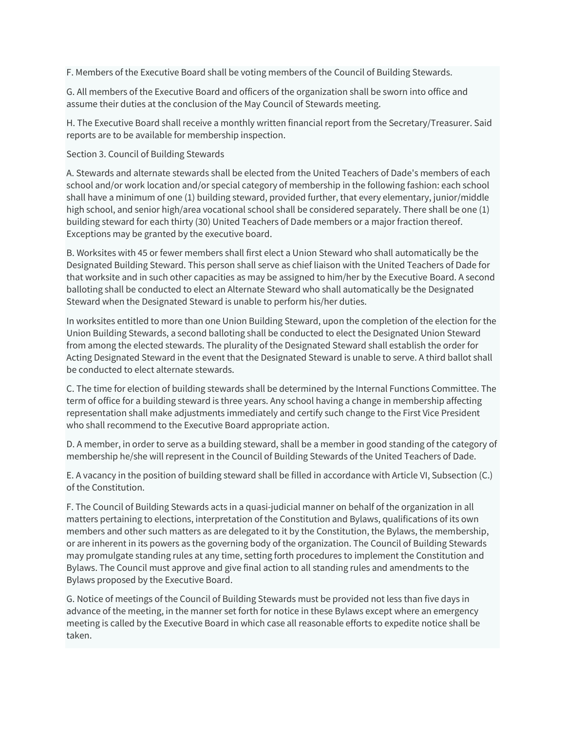F. Members of the Executive Board shall be voting members of the Council of Building Stewards.

G. All members of the Executive Board and officers of the organization shall be sworn into office and assume their duties at the conclusion of the May Council of Stewards meeting.

H. The Executive Board shall receive a monthly written financial report from the Secretary/Treasurer. Said reports are to be available for membership inspection.

### Section 3. Council of Building Stewards

A. Stewards and alternate stewards shall be elected from the United Teachers of Dade's members of each school and/or work location and/or special category of membership in the following fashion: each school shall have a minimum of one (1) building steward, provided further, that every elementary, junior/middle high school, and senior high/area vocational school shall be considered separately. There shall be one (1) building steward for each thirty (30) United Teachers of Dade members or a major fraction thereof. Exceptions may be granted by the executive board.

B. Worksites with 45 or fewer members shall first elect a Union Steward who shall automatically be the Designated Building Steward. This person shall serve as chief liaison with the United Teachers of Dade for that worksite and in such other capacities as may be assigned to him/her by the Executive Board. A second balloting shall be conducted to elect an Alternate Steward who shall automatically be the Designated Steward when the Designated Steward is unable to perform his/her duties.

In worksites entitled to more than one Union Building Steward, upon the completion of the election for the Union Building Stewards, a second balloting shall be conducted to elect the Designated Union Steward from among the elected stewards. The plurality of the Designated Steward shall establish the order for Acting Designated Steward in the event that the Designated Steward is unable to serve. A third ballot shall be conducted to elect alternate stewards.

C. The time for election of building stewards shall be determined by the Internal Functions Committee. The term of office for a building steward is three years. Any school having a change in membership affecting representation shall make adjustments immediately and certify such change to the First Vice President who shall recommend to the Executive Board appropriate action.

D. A member, in order to serve as a building steward, shall be a member in good standing of the category of membership he/she will represent in the Council of Building Stewards of the United Teachers of Dade.

E. A vacancy in the position of building steward shall be filled in accordance with Article VI, Subsection (C.) of the Constitution.

F. The Council of Building Stewards acts in a quasi-judicial manner on behalf of the organization in all matters pertaining to elections, interpretation of the Constitution and Bylaws, qualifications of its own members and other such matters as are delegated to it by the Constitution, the Bylaws, the membership, or are inherent in its powers as the governing body of the organization. The Council of Building Stewards may promulgate standing rules at any time, setting forth procedures to implement the Constitution and Bylaws. The Council must approve and give final action to all standing rules and amendments to the Bylaws proposed by the Executive Board.

G. Notice of meetings of the Council of Building Stewards must be provided not less than five days in advance of the meeting, in the manner set forth for notice in these Bylaws except where an emergency meeting is called by the Executive Board in which case all reasonable efforts to expedite notice shall be taken.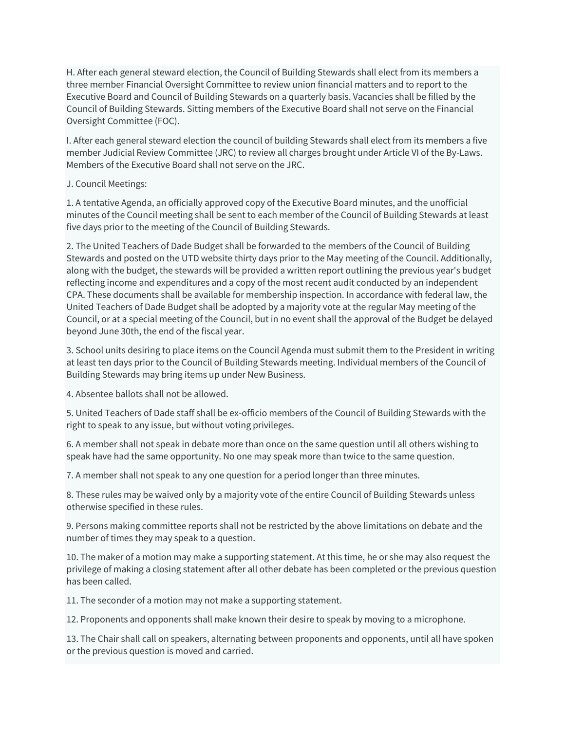H. After each general steward election, the Council of Building Stewards shall elect from its members a three member Financial Oversight Committee to review union financial matters and to report to the Executive Board and Council of Building Stewards on a quarterly basis. Vacancies shall be filled by the Council of Building Stewards. Sitting members of the Executive Board shall not serve on the Financial Oversight Committee (FOC).

I. After each general steward election the council of building Stewards shall elect from its members a five member Judicial Review Committee (JRC) to review all charges brought under Article VI of the By-Laws. Members of the Executive Board shall not serve on the JRC.

### J. Council Meetings:

1. A tentative Agenda, an officially approved copy of the Executive Board minutes, and the unofficial minutes of the Council meeting shall be sent to each member of the Council of Building Stewards at least five days prior to the meeting of the Council of Building Stewards.

2. The United Teachers of Dade Budget shall be forwarded to the members of the Council of Building Stewards and posted on the UTD website thirty days prior to the May meeting of the Council. Additionally, along with the budget, the stewards will be provided a written report outlining the previous year's budget reflecting income and expenditures and a copy of the most recent audit conducted by an independent CPA. These documents shall be available for membership inspection. In accordance with federal law, the United Teachers of Dade Budget shall be adopted by a majority vote at the regular May meeting of the Council, or at a special meeting of the Council, but in no event shall the approval of the Budget be delayed beyond June 30th, the end of the fiscal year.

3. School units desiring to place items on the Council Agenda must submit them to the President in writing at least ten days prior to the Council of Building Stewards meeting. Individual members of the Council of Building Stewards may bring items up under New Business.

4. Absentee ballots shall not be allowed.

5. United Teachers of Dade staff shall be ex-officio members of the Council of Building Stewards with the right to speak to any issue, but without voting privileges.

6. A member shall not speak in debate more than once on the same question until all others wishing to speak have had the same opportunity. No one may speak more than twice to the same question.

7. A member shall not speak to any one question for a period longer than three minutes.

8. These rules may be waived only by a majority vote of the entire Council of Building Stewards unless otherwise specified in these rules.

9. Persons making committee reports shall not be restricted by the above limitations on debate and the number of times they may speak to a question.

10. The maker of a motion may make a supporting statement. At this time, he or she may also request the privilege of making a closing statement after all other debate has been completed or the previous question has been called.

11. The seconder of a motion may not make a supporting statement.

12. Proponents and opponents shall make known their desire to speak by moving to a microphone.

13. The Chair shall call on speakers, alternating between proponents and opponents, until all have spoken or the previous question is moved and carried.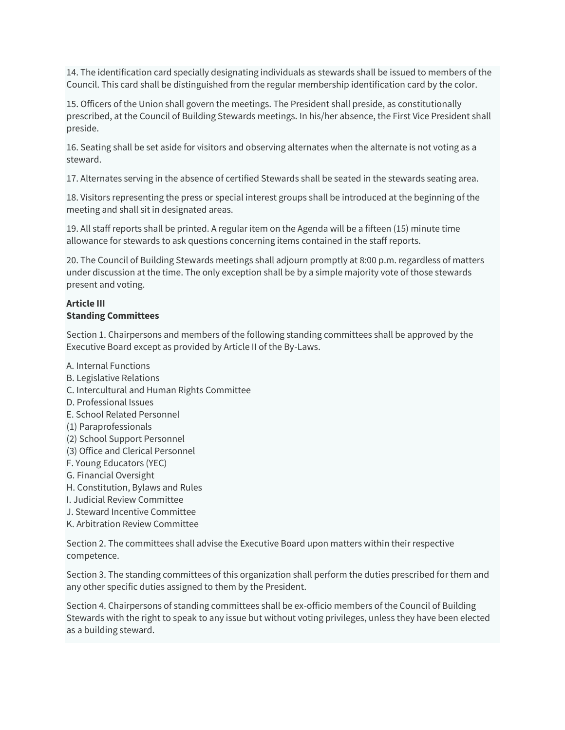14. The identification card specially designating individuals as stewards shall be issued to members of the Council. This card shall be distinguished from the regular membership identification card by the color.

15. Officers of the Union shall govern the meetings. The President shall preside, as constitutionally prescribed, at the Council of Building Stewards meetings. In his/her absence, the First Vice President shall preside.

16. Seating shall be set aside for visitors and observing alternates when the alternate is not voting as a steward.

17. Alternates serving in the absence of certified Stewards shall be seated in the stewards seating area.

18. Visitors representing the press or special interest groups shall be introduced at the beginning of the meeting and shall sit in designated areas.

19. All staff reports shall be printed. A regular item on the Agenda will be a fifteen (15) minute time allowance for stewards to ask questions concerning items contained in the staff reports.

20. The Council of Building Stewards meetings shall adjourn promptly at 8:00 p.m. regardless of matters under discussion at the time. The only exception shall be by a simple majority vote of those stewards present and voting.

#### **Article III Standing Committees**

Section 1. Chairpersons and members of the following standing committees shall be approved by the Executive Board except as provided by Article II of the By-Laws.

- A. Internal Functions B. Legislative Relations
- C. Intercultural and Human Rights Committee
- D. Professional Issues
- E. School Related Personnel
- (1) Paraprofessionals
- (2) School Support Personnel
- (3) Office and Clerical Personnel
- F. Young Educators (YEC)
- G. Financial Oversight
- H. Constitution, Bylaws and Rules
- I. Judicial Review Committee
- J. Steward Incentive Committee
- K. Arbitration Review Committee

Section 2. The committees shall advise the Executive Board upon matters within their respective competence.

Section 3. The standing committees of this organization shall perform the duties prescribed for them and any other specific duties assigned to them by the President.

Section 4. Chairpersons of standing committees shall be ex-officio members of the Council of Building Stewards with the right to speak to any issue but without voting privileges, unless they have been elected as a building steward.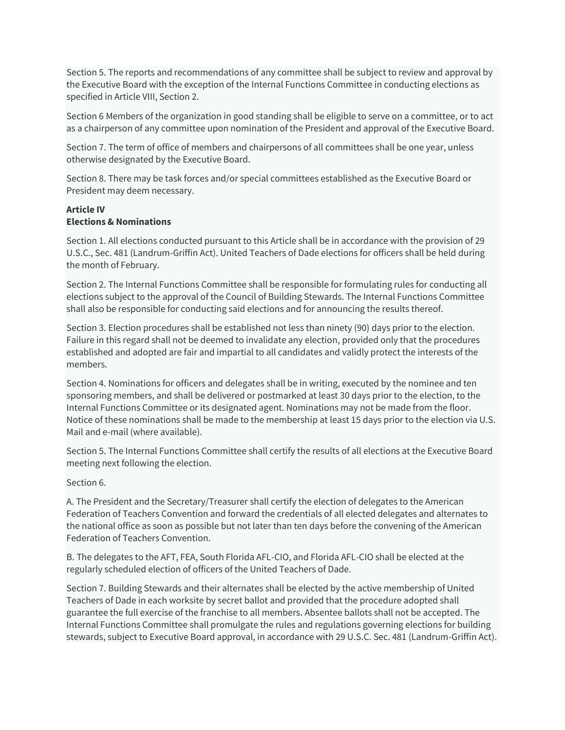Section 5. The reports and recommendations of any committee shall be subject to review and approval by the Executive Board with the exception of the Internal Functions Committee in conducting elections as specified in Article VIII, Section 2.

Section 6 Members of the organization in good standing shall be eligible to serve on a committee, or to act as a chairperson of any committee upon nomination of the President and approval of the Executive Board.

Section 7. The term of office of members and chairpersons of all committees shall be one year, unless otherwise designated by the Executive Board.

Section 8. There may be task forces and/or special committees established as the Executive Board or President may deem necessary.

#### **Article IV Elections & Nominations**

Section 1. All elections conducted pursuant to this Article shall be in accordance with the provision of 29 U.S.C., Sec. 481 (Landrum-Griffin Act). United Teachers of Dade elections for officers shall be held during the month of February.

Section 2. The Internal Functions Committee shall be responsible for formulating rules for conducting all elections subject to the approval of the Council of Building Stewards. The Internal Functions Committee shall also be responsible for conducting said elections and for announcing the results thereof.

Section 3. Election procedures shall be established not less than ninety (90) days prior to the election. Failure in this regard shall not be deemed to invalidate any election, provided only that the procedures established and adopted are fair and impartial to all candidates and validly protect the interests of the members.

Section 4. Nominations for officers and delegates shall be in writing, executed by the nominee and ten sponsoring members, and shall be delivered or postmarked at least 30 days prior to the election, to the Internal Functions Committee or its designated agent. Nominations may not be made from the floor. Notice of these nominations shall be made to the membership at least 15 days prior to the election via U.S. Mail and e-mail (where available).

Section 5. The Internal Functions Committee shall certify the results of all elections at the Executive Board meeting next following the election.

#### Section 6.

A. The President and the Secretary/Treasurer shall certify the election of delegates to the American Federation of Teachers Convention and forward the credentials of all elected delegates and alternates to the national office as soon as possible but not later than ten days before the convening of the American Federation of Teachers Convention.

B. The delegates to the AFT, FEA, South Florida AFL-CIO, and Florida AFL-CIO shall be elected at the regularly scheduled election of officers of the United Teachers of Dade.

Section 7. Building Stewards and their alternates shall be elected by the active membership of United Teachers of Dade in each worksite by secret ballot and provided that the procedure adopted shall guarantee the full exercise of the franchise to all members. Absentee ballots shall not be accepted. The Internal Functions Committee shall promulgate the rules and regulations governing elections for building stewards, subject to Executive Board approval, in accordance with 29 U.S.C. Sec. 481 (Landrum-Griffin Act).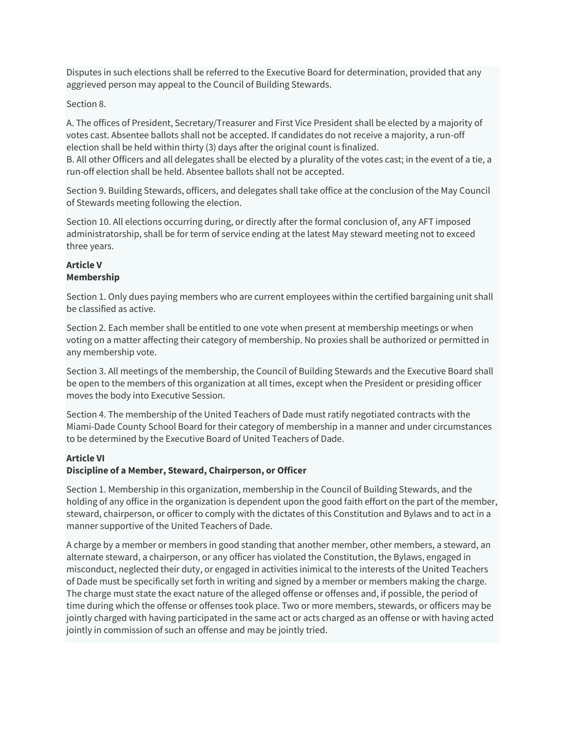Disputes in such elections shall be referred to the Executive Board for determination, provided that any aggrieved person may appeal to the Council of Building Stewards.

#### Section 8.

A. The offices of President, Secretary/Treasurer and First Vice President shall be elected by a majority of votes cast. Absentee ballots shall not be accepted. If candidates do not receive a majority, a run-off election shall be held within thirty (3) days after the original count is finalized.

B. All other Officers and all delegates shall be elected by a plurality of the votes cast; in the event of a tie, a run-off election shall be held. Absentee ballots shall not be accepted.

Section 9. Building Stewards, officers, and delegates shall take office at the conclusion of the May Council of Stewards meeting following the election.

Section 10. All elections occurring during, or directly after the formal conclusion of, any AFT imposed administratorship, shall be for term of service ending at the latest May steward meeting not to exceed three years.

#### **Article V Membership**

Section 1. Only dues paying members who are current employees within the certified bargaining unit shall be classified as active.

Section 2. Each member shall be entitled to one vote when present at membership meetings or when voting on a matter affecting their category of membership. No proxies shall be authorized or permitted in any membership vote.

Section 3. All meetings of the membership, the Council of Building Stewards and the Executive Board shall be open to the members of this organization at all times, except when the President or presiding officer moves the body into Executive Session.

Section 4. The membership of the United Teachers of Dade must ratify negotiated contracts with the Miami-Dade County School Board for their category of membership in a manner and under circumstances to be determined by the Executive Board of United Teachers of Dade.

#### **Article VI**

#### **Discipline of a Member, Steward, Chairperson, or Officer**

Section 1. Membership in this organization, membership in the Council of Building Stewards, and the holding of any office in the organization is dependent upon the good faith effort on the part of the member, steward, chairperson, or officer to comply with the dictates of this Constitution and Bylaws and to act in a manner supportive of the United Teachers of Dade.

A charge by a member or members in good standing that another member, other members, a steward, an alternate steward, a chairperson, or any officer has violated the Constitution, the Bylaws, engaged in misconduct, neglected their duty, or engaged in activities inimical to the interests of the United Teachers of Dade must be specifically set forth in writing and signed by a member or members making the charge. The charge must state the exact nature of the alleged offense or offenses and, if possible, the period of time during which the offense or offenses took place. Two or more members, stewards, or officers may be jointly charged with having participated in the same act or acts charged as an offense or with having acted jointly in commission of such an offense and may be jointly tried.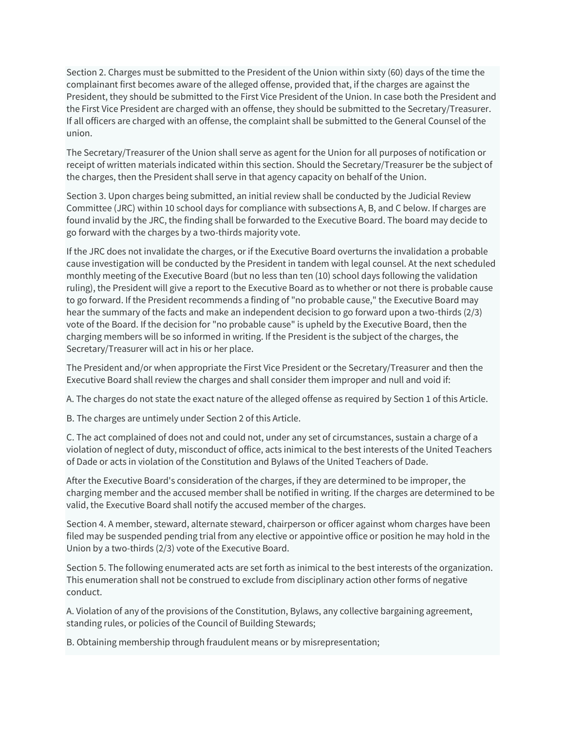Section 2. Charges must be submitted to the President of the Union within sixty (60) days of the time the complainant first becomes aware of the alleged offense, provided that, if the charges are against the President, they should be submitted to the First Vice President of the Union. In case both the President and the First Vice President are charged with an offense, they should be submitted to the Secretary/Treasurer. If all officers are charged with an offense, the complaint shall be submitted to the General Counsel of the union.

The Secretary/Treasurer of the Union shall serve as agent for the Union for all purposes of notification or receipt of written materials indicated within this section. Should the Secretary/Treasurer be the subject of the charges, then the President shall serve in that agency capacity on behalf of the Union.

Section 3. Upon charges being submitted, an initial review shall be conducted by the Judicial Review Committee (JRC) within 10 school days for compliance with subsections A, B, and C below. If charges are found invalid by the JRC, the finding shall be forwarded to the Executive Board. The board may decide to go forward with the charges by a two-thirds majority vote.

If the JRC does not invalidate the charges, or if the Executive Board overturns the invalidation a probable cause investigation will be conducted by the President in tandem with legal counsel. At the next scheduled monthly meeting of the Executive Board (but no less than ten (10) school days following the validation ruling), the President will give a report to the Executive Board as to whether or not there is probable cause to go forward. If the President recommends a finding of "no probable cause," the Executive Board may hear the summary of the facts and make an independent decision to go forward upon a two-thirds (2/3) vote of the Board. If the decision for "no probable cause" is upheld by the Executive Board, then the charging members will be so informed in writing. If the President is the subject of the charges, the Secretary/Treasurer will act in his or her place.

The President and/or when appropriate the First Vice President or the Secretary/Treasurer and then the Executive Board shall review the charges and shall consider them improper and null and void if:

A. The charges do not state the exact nature of the alleged offense as required by Section 1 of this Article.

B. The charges are untimely under Section 2 of this Article.

C. The act complained of does not and could not, under any set of circumstances, sustain a charge of a violation of neglect of duty, misconduct of office, acts inimical to the best interests of the United Teachers of Dade or acts in violation of the Constitution and Bylaws of the United Teachers of Dade.

After the Executive Board's consideration of the charges, if they are determined to be improper, the charging member and the accused member shall be notified in writing. If the charges are determined to be valid, the Executive Board shall notify the accused member of the charges.

Section 4. A member, steward, alternate steward, chairperson or officer against whom charges have been filed may be suspended pending trial from any elective or appointive office or position he may hold in the Union by a two-thirds (2/3) vote of the Executive Board.

Section 5. The following enumerated acts are set forth as inimical to the best interests of the organization. This enumeration shall not be construed to exclude from disciplinary action other forms of negative conduct.

A. Violation of any of the provisions of the Constitution, Bylaws, any collective bargaining agreement, standing rules, or policies of the Council of Building Stewards;

B. Obtaining membership through fraudulent means or by misrepresentation;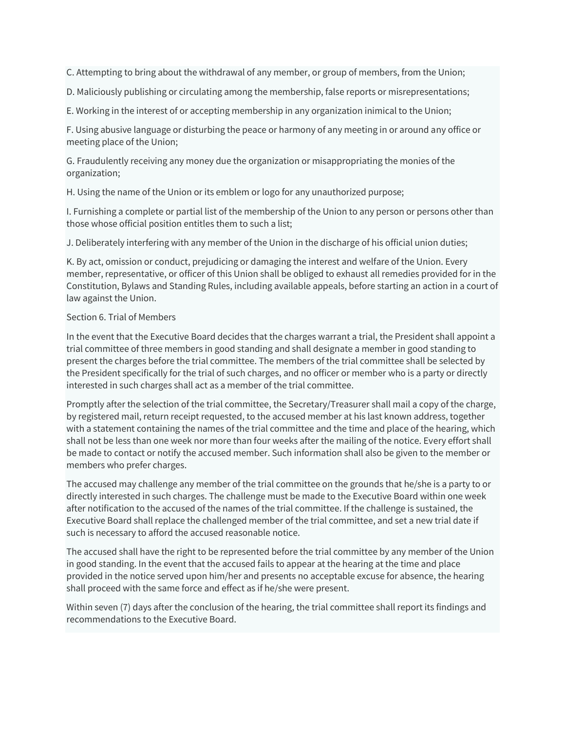C. Attempting to bring about the withdrawal of any member, or group of members, from the Union;

D. Maliciously publishing or circulating among the membership, false reports or misrepresentations;

E. Working in the interest of or accepting membership in any organization inimical to the Union;

F. Using abusive language or disturbing the peace or harmony of any meeting in or around any office or meeting place of the Union;

G. Fraudulently receiving any money due the organization or misappropriating the monies of the organization;

H. Using the name of the Union or its emblem or logo for any unauthorized purpose;

I. Furnishing a complete or partial list of the membership of the Union to any person or persons other than those whose official position entitles them to such a list;

J. Deliberately interfering with any member of the Union in the discharge of his official union duties;

K. By act, omission or conduct, prejudicing or damaging the interest and welfare of the Union. Every member, representative, or officer of this Union shall be obliged to exhaust all remedies provided for in the Constitution, Bylaws and Standing Rules, including available appeals, before starting an action in a court of law against the Union.

#### Section 6. Trial of Members

In the event that the Executive Board decides that the charges warrant a trial, the President shall appoint a trial committee of three members in good standing and shall designate a member in good standing to present the charges before the trial committee. The members of the trial committee shall be selected by the President specifically for the trial of such charges, and no officer or member who is a party or directly interested in such charges shall act as a member of the trial committee.

Promptly after the selection of the trial committee, the Secretary/Treasurer shall mail a copy of the charge, by registered mail, return receipt requested, to the accused member at his last known address, together with a statement containing the names of the trial committee and the time and place of the hearing, which shall not be less than one week nor more than four weeks after the mailing of the notice. Every effort shall be made to contact or notify the accused member. Such information shall also be given to the member or members who prefer charges.

The accused may challenge any member of the trial committee on the grounds that he/she is a party to or directly interested in such charges. The challenge must be made to the Executive Board within one week after notification to the accused of the names of the trial committee. If the challenge is sustained, the Executive Board shall replace the challenged member of the trial committee, and set a new trial date if such is necessary to afford the accused reasonable notice.

The accused shall have the right to be represented before the trial committee by any member of the Union in good standing. In the event that the accused fails to appear at the hearing at the time and place provided in the notice served upon him/her and presents no acceptable excuse for absence, the hearing shall proceed with the same force and effect as if he/she were present.

Within seven (7) days after the conclusion of the hearing, the trial committee shall report its findings and recommendations to the Executive Board.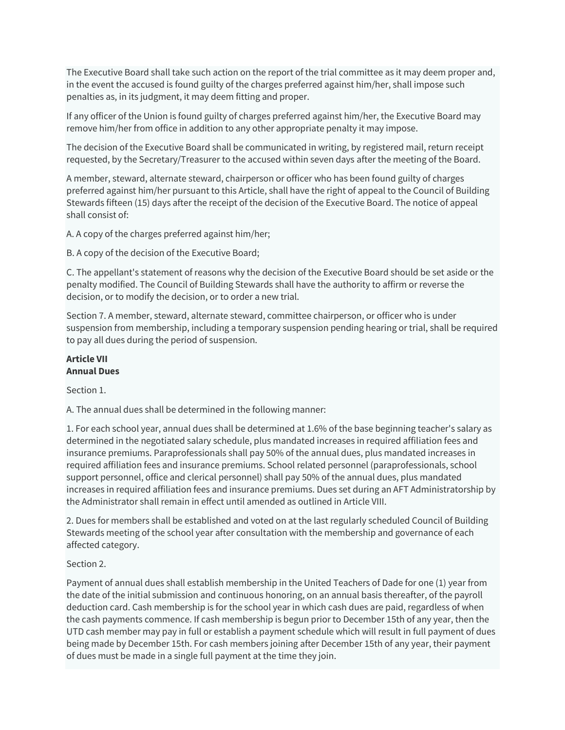The Executive Board shall take such action on the report of the trial committee as it may deem proper and, in the event the accused is found guilty of the charges preferred against him/her, shall impose such penalties as, in its judgment, it may deem fitting and proper.

If any officer of the Union is found guilty of charges preferred against him/her, the Executive Board may remove him/her from office in addition to any other appropriate penalty it may impose.

The decision of the Executive Board shall be communicated in writing, by registered mail, return receipt requested, by the Secretary/Treasurer to the accused within seven days after the meeting of the Board.

A member, steward, alternate steward, chairperson or officer who has been found guilty of charges preferred against him/her pursuant to this Article, shall have the right of appeal to the Council of Building Stewards fifteen (15) days after the receipt of the decision of the Executive Board. The notice of appeal shall consist of:

A. A copy of the charges preferred against him/her;

B. A copy of the decision of the Executive Board;

C. The appellant's statement of reasons why the decision of the Executive Board should be set aside or the penalty modified. The Council of Building Stewards shall have the authority to affirm or reverse the decision, or to modify the decision, or to order a new trial.

Section 7. A member, steward, alternate steward, committee chairperson, or officer who is under suspension from membership, including a temporary suspension pending hearing or trial, shall be required to pay all dues during the period of suspension.

#### **Article VII Annual Dues**

Section 1.

A. The annual dues shall be determined in the following manner:

1. For each school year, annual dues shall be determined at 1.6% of the base beginning teacher's salary as determined in the negotiated salary schedule, plus mandated increases in required affiliation fees and insurance premiums. Paraprofessionals shall pay 50% of the annual dues, plus mandated increases in required affiliation fees and insurance premiums. School related personnel (paraprofessionals, school support personnel, office and clerical personnel) shall pay 50% of the annual dues, plus mandated increases in required affiliation fees and insurance premiums. Dues set during an AFT Administratorship by the Administrator shall remain in effect until amended as outlined in Article VIII.

2. Dues for members shall be established and voted on at the last regularly scheduled Council of Building Stewards meeting of the school year after consultation with the membership and governance of each affected category.

## Section 2.

Payment of annual dues shall establish membership in the United Teachers of Dade for one (1) year from the date of the initial submission and continuous honoring, on an annual basis thereafter, of the payroll deduction card. Cash membership is for the school year in which cash dues are paid, regardless of when the cash payments commence. If cash membership is begun prior to December 15th of any year, then the UTD cash member may pay in full or establish a payment schedule which will result in full payment of dues being made by December 15th. For cash members joining after December 15th of any year, their payment of dues must be made in a single full payment at the time they join.